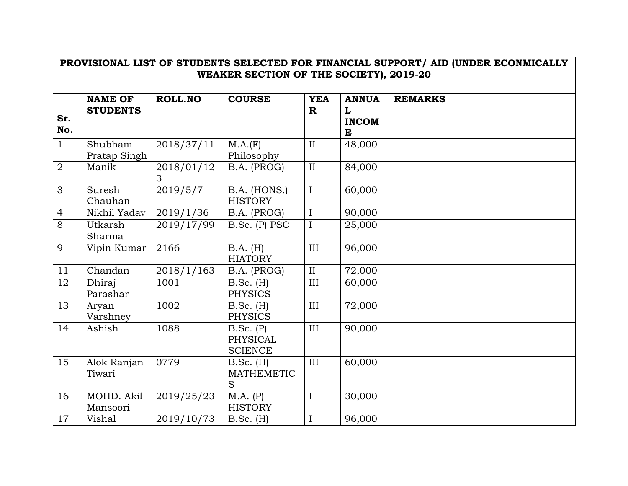|                 | PROVISIONAL LIST OF STUDENTS SELECTED FOR FINANCIAL SUPPORT/ AID (UNDER ECONMICALLY<br>WEAKER SECTION OF THE SOCIETY), 2019-20 |                 |                                           |                        |                                        |                |  |  |  |  |
|-----------------|--------------------------------------------------------------------------------------------------------------------------------|-----------------|-------------------------------------------|------------------------|----------------------------------------|----------------|--|--|--|--|
| Sr.<br>No.      | <b>NAME OF</b><br><b>STUDENTS</b>                                                                                              | <b>ROLL.NO</b>  | <b>COURSE</b>                             | <b>YEA</b><br>$\bf{R}$ | <b>ANNUA</b><br>L<br><b>INCOM</b><br>E | <b>REMARKS</b> |  |  |  |  |
| $\mathbf{1}$    | Shubham<br>Pratap Singh                                                                                                        | 2018/37/11      | M.A.(F)<br>Philosophy                     | II                     | 48,000                                 |                |  |  |  |  |
| $\overline{2}$  | Manik                                                                                                                          | 2018/01/12<br>3 | B.A. (PROG)                               | $\rm II$               | 84,000                                 |                |  |  |  |  |
| 3               | Suresh<br>Chauhan                                                                                                              | 2019/5/7        | B.A. (HONS.)<br><b>HISTORY</b>            | $\mathbf I$            | 60,000                                 |                |  |  |  |  |
| $\overline{4}$  | Nikhil Yadav                                                                                                                   | 2019/1/36       | B.A. (PROG)                               | $\bf{I}$               | 90,000                                 |                |  |  |  |  |
| 8               | Utkarsh<br>Sharma                                                                                                              | 2019/17/99      | B.Sc. (P) PSC                             | $\mathbf I$            | 25,000                                 |                |  |  |  |  |
| 9               | Vipin Kumar                                                                                                                    | 2166            | B.A. (H)<br><b>HIATORY</b>                | III                    | 96,000                                 |                |  |  |  |  |
| 11              | Chandan                                                                                                                        | 2018/1/163      | B.A. (PROG)                               | $\rm II$               | 72,000                                 |                |  |  |  |  |
| 12              | Dhiraj<br>Parashar                                                                                                             | 1001            | $B.Sc.$ (H)<br><b>PHYSICS</b>             | III                    | 60,000                                 |                |  |  |  |  |
| 13              | Aryan<br>Varshney                                                                                                              | 1002            | $B.Sc.$ (H)<br><b>PHYSICS</b>             | III                    | 72,000                                 |                |  |  |  |  |
| 14              | Ashish                                                                                                                         | 1088            | $B.Sc.$ (P)<br>PHYSICAL<br><b>SCIENCE</b> | III                    | 90,000                                 |                |  |  |  |  |
| $\overline{15}$ | Alok Ranjan<br>Tiwari                                                                                                          | 0779            | $B.Sc.$ (H)<br><b>MATHEMETIC</b><br>S     | III                    | 60,000                                 |                |  |  |  |  |
| 16              | MOHD. Akil<br>Mansoori                                                                                                         | 2019/25/23      | M.A. (P)<br><b>HISTORY</b>                | $\mathbf I$            | 30,000                                 |                |  |  |  |  |
| 17              | Vishal                                                                                                                         | 2019/10/73      | $B.Sc.$ (H)                               | $\mathbf I$            | 96,000                                 |                |  |  |  |  |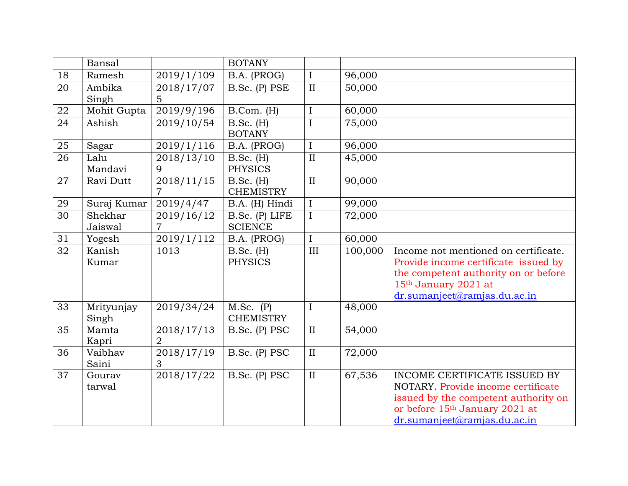|            | Bansal                    |                              | <b>BOTANY</b>                    |             |         |                                                                                                                                                                                          |
|------------|---------------------------|------------------------------|----------------------------------|-------------|---------|------------------------------------------------------------------------------------------------------------------------------------------------------------------------------------------|
| 18         | Ramesh                    | 2019/1/109                   | B.A. (PROG)                      | $\rm I$     | 96,000  |                                                                                                                                                                                          |
| 20         | Ambika<br>Singh           | 2018/17/07<br>5              | B.Sc. (P) PSE                    | $\rm II$    | 50,000  |                                                                                                                                                                                          |
| ${\bf 22}$ | Mohit Gupta               | 2019/9/196                   | B.Com. (H)                       | $\rm I$     | 60,000  |                                                                                                                                                                                          |
| 24         | Ashish                    | 2019/10/54                   | $B.Sc.$ (H)<br><b>BOTANY</b>     | $\mathbf I$ | 75,000  |                                                                                                                                                                                          |
| 25         | Sagar                     | 2019/1/116                   | B.A. (PROG)                      | $\mathbf I$ | 96,000  |                                                                                                                                                                                          |
| 26         | Lalu<br>Mandavi           | 2018/13/10<br>9              | $B.Sc.$ (H)<br><b>PHYSICS</b>    | II          | 45,000  |                                                                                                                                                                                          |
| 27         | Ravi Dutt                 | 2018/11/15<br>7              | $B.Sc.$ (H)<br><b>CHEMISTRY</b>  | $\rm II$    | 90,000  |                                                                                                                                                                                          |
| 29         | Suraj Kumar               | 2019/4/47                    | B.A. (H) Hindi                   | $\rm I$     | 99,000  |                                                                                                                                                                                          |
| 30         | Shekhar<br><b>Jaiswal</b> | 2019/16/12<br>$\overline{7}$ | B.Sc. (P) LIFE<br><b>SCIENCE</b> | $\mathbf I$ | 72,000  |                                                                                                                                                                                          |
| 31         | Yogesh                    | 2019/1/112                   | B.A. (PROG)                      | $\bf I$     | 60,000  |                                                                                                                                                                                          |
| 32         | Kanish<br>Kumar           | 1013                         | $B.Sc.$ (H)<br><b>PHYSICS</b>    | III         | 100,000 | Income not mentioned on certificate.<br>Provide income certificate issued by<br>the competent authority on or before<br>15 <sup>th</sup> January 2021 at<br>dr.sumanjeet@ramjas.du.ac.in |
| 33         | Mrityunjay<br>Singh       | 2019/34/24                   | $M.Sc.$ (P)<br><b>CHEMISTRY</b>  | $\rm I$     | 48,000  |                                                                                                                                                                                          |
| 35         | Mamta<br>Kapri            | 2018/17/13<br>$\overline{2}$ | B.Sc. (P) PSC                    | II          | 54,000  |                                                                                                                                                                                          |
| 36         | Vaibhav<br>Saini          | 2018/17/19<br>3              | B.Sc. (P) PSC                    | $\rm II$    | 72,000  |                                                                                                                                                                                          |
| 37         | Gourav<br>tarwal          | 2018/17/22                   | B.Sc. (P) PSC                    | II          | 67,536  | INCOME CERTIFICATE ISSUED BY<br>NOTARY. Provide income certificate<br>issued by the competent authority on<br>or before 15 <sup>th</sup> January 2021 at<br>dr.sumanjeet@ramjas.du.ac.in |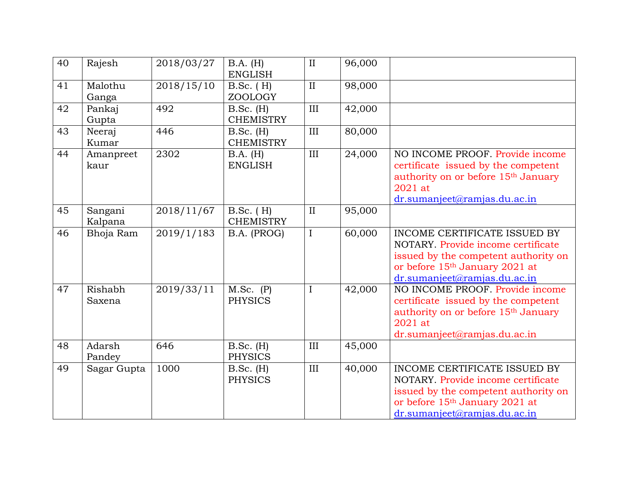| 40 | Rajesh             | 2018/03/27 | B.A. (H)<br><b>ENGLISH</b>      | $\rm II$    | 96,000 |                                                                                                                                                                                          |
|----|--------------------|------------|---------------------------------|-------------|--------|------------------------------------------------------------------------------------------------------------------------------------------------------------------------------------------|
| 41 | Malothu<br>Ganga   | 2018/15/10 | $B.Sc.$ ( $H$ )<br>ZOOLOGY      | $\rm II$    | 98,000 |                                                                                                                                                                                          |
| 42 | Pankaj<br>Gupta    | 492        | $B.Sc.$ (H)<br><b>CHEMISTRY</b> | III         | 42,000 |                                                                                                                                                                                          |
| 43 | Neeraj<br>Kumar    | 446        | $B.Sc.$ (H)<br><b>CHEMISTRY</b> | III         | 80,000 |                                                                                                                                                                                          |
| 44 | Amanpreet<br>kaur  | 2302       | B.A. (H)<br><b>ENGLISH</b>      | III         | 24,000 | NO INCOME PROOF. Provide income<br>certificate issued by the competent<br>authority on or before 15 <sup>th</sup> January<br>2021 at<br>dr.sumanjeet@ramjas.du.ac.in                     |
| 45 | Sangani<br>Kalpana | 2018/11/67 | $B.Sc.$ (H)<br><b>CHEMISTRY</b> | $\rm II$    | 95,000 |                                                                                                                                                                                          |
| 46 | Bhoja Ram          | 2019/1/183 | B.A. (PROG)                     | $\mathbf I$ | 60,000 | INCOME CERTIFICATE ISSUED BY<br>NOTARY. Provide income certificate<br>issued by the competent authority on<br>or before 15 <sup>th</sup> January 2021 at<br>dr.sumanjeet@ramjas.du.ac.in |
| 47 | Rishabh<br>Saxena  | 2019/33/11 | $M.Sc.$ (P)<br><b>PHYSICS</b>   | $\mathbf I$ | 42,000 | NO INCOME PROOF. Provide income<br>certificate issued by the competent<br>authority on or before 15 <sup>th</sup> January<br>2021 at<br>dr.sumanjeet@ramjas.du.ac.in                     |
| 48 | Adarsh<br>Pandey   | 646        | $B.Sc.$ (H)<br><b>PHYSICS</b>   | III         | 45,000 |                                                                                                                                                                                          |
| 49 | Sagar Gupta        | 1000       | $B.Sc.$ (H)<br><b>PHYSICS</b>   | III         | 40,000 | INCOME CERTIFICATE ISSUED BY<br>NOTARY. Provide income certificate<br>issued by the competent authority on<br>or before 15 <sup>th</sup> January 2021 at<br>dr.sumanjeet@ramjas.du.ac.in |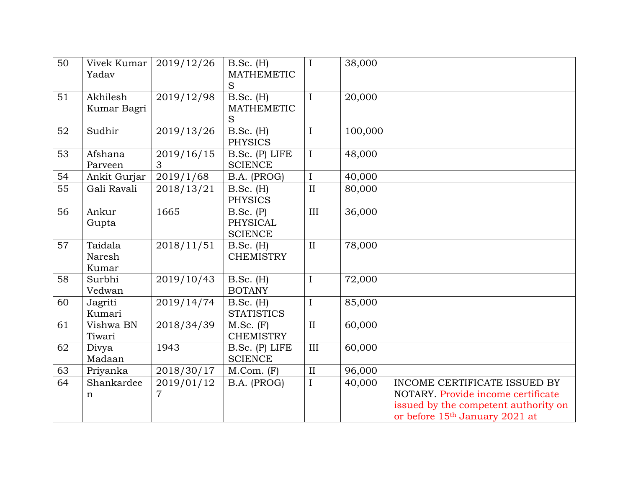| 50 | Vivek Kumar<br>Yadav       | 2019/12/26            | $B.Sc.$ (H)<br><b>MATHEMETIC</b><br>S     | $\mathbf I$ | 38,000  |                                                                                                                                                          |
|----|----------------------------|-----------------------|-------------------------------------------|-------------|---------|----------------------------------------------------------------------------------------------------------------------------------------------------------|
| 51 | Akhilesh<br>Kumar Bagri    | 2019/12/98            | $B.Sc.$ (H)<br>MATHEMETIC<br>S            | $\mathbf I$ | 20,000  |                                                                                                                                                          |
| 52 | Sudhir                     | 2019/13/26            | $B.Sc.$ (H)<br><b>PHYSICS</b>             | $\mathbf I$ | 100,000 |                                                                                                                                                          |
| 53 | Afshana<br>Parveen         | 2019/16/15<br>3       | B.Sc. (P) LIFE<br><b>SCIENCE</b>          | $\rm I$     | 48,000  |                                                                                                                                                          |
| 54 | Ankit Gurjar               | 2019/1/68             | B.A. (PROG)                               | $\mathbf I$ | 40,000  |                                                                                                                                                          |
| 55 | Gali Ravali                | 2018/13/21            | $B.Sc.$ (H)<br><b>PHYSICS</b>             | $\rm II$    | 80,000  |                                                                                                                                                          |
| 56 | Ankur<br>Gupta             | 1665                  | $B.Sc.$ (P)<br>PHYSICAL<br><b>SCIENCE</b> | III         | 36,000  |                                                                                                                                                          |
| 57 | Taidala<br>Naresh<br>Kumar | $\frac{2018}{11}{51}$ | $B.Sc.$ (H)<br><b>CHEMISTRY</b>           | II          | 78,000  |                                                                                                                                                          |
| 58 | Surbhi<br>Vedwan           | 2019/10/43            | $B.Sc.$ (H)<br><b>BOTANY</b>              | $\mathbf I$ | 72,000  |                                                                                                                                                          |
| 60 | Jagriti<br>Kumari          | 2019/14/74            | $B.Sc.$ (H)<br><b>STATISTICS</b>          | $\mathbf I$ | 85,000  |                                                                                                                                                          |
| 61 | Vishwa BN<br>Tiwari        | 2018/34/39            | $M.Sc.$ (F)<br><b>CHEMISTRY</b>           | II          | 60,000  |                                                                                                                                                          |
| 62 | Divya<br>Madaan            | 1943                  | B.Sc. (P) LIFE<br><b>SCIENCE</b>          | III         | 60,000  |                                                                                                                                                          |
| 63 | Priyanka                   | 2018/30/17            | M. Com. (F)                               | $\rm II$    | 96,000  |                                                                                                                                                          |
| 64 | Shankardee<br>n            | 2019/01/12<br>7       | B.A. (PROG)                               | $\mathbf I$ | 40,000  | INCOME CERTIFICATE ISSUED BY<br>NOTARY. Provide income certificate<br>issued by the competent authority on<br>or before 15 <sup>th</sup> January 2021 at |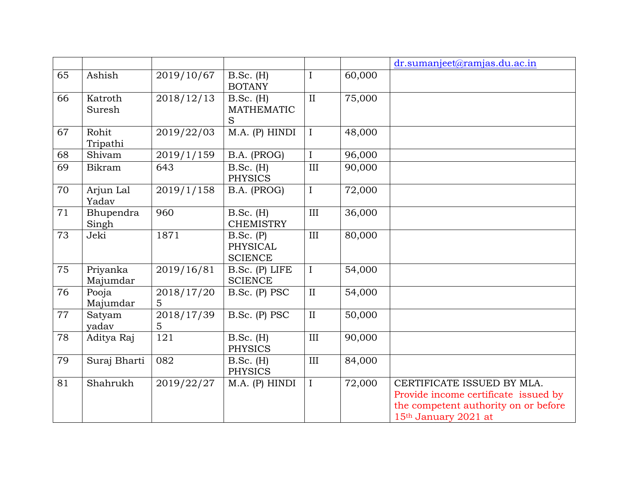|    |                      |                 |                                           |             |        | dr.sumanjeet@ramjas.du.ac.in                                                                                                                   |
|----|----------------------|-----------------|-------------------------------------------|-------------|--------|------------------------------------------------------------------------------------------------------------------------------------------------|
| 65 | Ashish               | 2019/10/67      | $B.Sc.$ (H)<br><b>BOTANY</b>              | $\mathbf I$ | 60,000 |                                                                                                                                                |
| 66 | Katroth<br>Suresh    | 2018/12/13      | $B.Sc.$ (H)<br>MATHEMATIC<br>S            | II          | 75,000 |                                                                                                                                                |
| 67 | Rohit<br>Tripathi    | 2019/22/03      | M.A. (P) HINDI                            | $\mathbf I$ | 48,000 |                                                                                                                                                |
| 68 | Shivam               | 2019/1/159      | B.A. (PROG)                               | $\mathbf I$ | 96,000 |                                                                                                                                                |
| 69 | Bikram               | 643             | $B.Sc.$ (H)<br><b>PHYSICS</b>             | III         | 90,000 |                                                                                                                                                |
| 70 | Arjun Lal<br>Yadav   | 2019/1/158      | B.A. (PROG)                               | $\mathbf I$ | 72,000 |                                                                                                                                                |
| 71 | Bhupendra<br>Singh   | 960             | $B.Sc.$ (H)<br><b>CHEMISTRY</b>           | III         | 36,000 |                                                                                                                                                |
| 73 | Jeki                 | 1871            | $B.Sc.$ (P)<br>PHYSICAL<br><b>SCIENCE</b> | III         | 80,000 |                                                                                                                                                |
| 75 | Priyanka<br>Majumdar | 2019/16/81      | B.Sc. (P) LIFE<br><b>SCIENCE</b>          | $\bf{I}$    | 54,000 |                                                                                                                                                |
| 76 | Pooja<br>Majumdar    | 2018/17/20<br>5 | B.Sc. (P) PSC                             | $\rm II$    | 54,000 |                                                                                                                                                |
| 77 | Satyam<br>yadav      | 2018/17/39<br>5 | B.Sc. (P) PSC                             | $\rm II$    | 50,000 |                                                                                                                                                |
| 78 | Aditya Raj           | 121             | $B.Sc.$ (H)<br><b>PHYSICS</b>             | III         | 90,000 |                                                                                                                                                |
| 79 | Suraj Bharti         | 082             | $B.Sc.$ (H)<br><b>PHYSICS</b>             | III         | 84,000 |                                                                                                                                                |
| 81 | Shahrukh             | 2019/22/27      | M.A. (P) HINDI                            | $\mathbf I$ | 72,000 | CERTIFICATE ISSUED BY MLA.<br>Provide income certificate issued by<br>the competent authority on or before<br>15 <sup>th</sup> January 2021 at |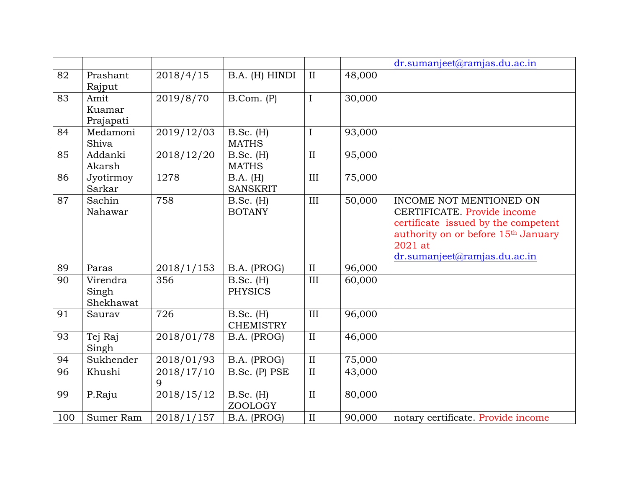|     |                                |                 |                                 |             |        | dr.sumanjeet@ramjas.du.ac.in                                                                                                                                                                |
|-----|--------------------------------|-----------------|---------------------------------|-------------|--------|---------------------------------------------------------------------------------------------------------------------------------------------------------------------------------------------|
| 82  | Prashant<br>Rajput             | 2018/4/15       | B.A. (H) HINDI                  | II          | 48,000 |                                                                                                                                                                                             |
| 83  | Amit<br>Kuamar<br>Prajapati    | 2019/8/70       | B.Com. (P)                      | $\mathbf I$ | 30,000 |                                                                                                                                                                                             |
| 84  | Medamoni<br>Shiva              | 2019/12/03      | $B.Sc.$ (H)<br><b>MATHS</b>     | $\mathbf I$ | 93,000 |                                                                                                                                                                                             |
| 85  | Addanki<br>Akarsh              | 2018/12/20      | $B.Sc.$ (H)<br><b>MATHS</b>     | II          | 95,000 |                                                                                                                                                                                             |
| 86  | Jyotirmoy<br>Sarkar            | 1278            | B.A. (H)<br><b>SANSKRIT</b>     | III         | 75,000 |                                                                                                                                                                                             |
| 87  | Sachin<br>Nahawar              | 758             | $B.Sc.$ (H)<br><b>BOTANY</b>    | III         | 50,000 | INCOME NOT MENTIONED ON<br>CERTIFICATE. Provide income<br>certificate issued by the competent<br>authority on or before 15 <sup>th</sup> January<br>2021 at<br>dr.sumanjeet@ramjas.du.ac.in |
| 89  | Paras                          | 2018/1/153      | B.A. (PROG)                     | $\rm II$    | 96,000 |                                                                                                                                                                                             |
| 90  | Virendra<br>Singh<br>Shekhawat | 356             | $B.Sc.$ (H)<br><b>PHYSICS</b>   | III         | 60,000 |                                                                                                                                                                                             |
| 91  | Saurav                         | 726             | $B.Sc.$ (H)<br><b>CHEMISTRY</b> | III         | 96,000 |                                                                                                                                                                                             |
| 93  | Tej Raj<br>Singh               | 2018/01/78      | B.A. (PROG)                     | II          | 46,000 |                                                                                                                                                                                             |
| 94  | Sukhender                      | 2018/01/93      | B.A. (PROG)                     | $\rm II$    | 75,000 |                                                                                                                                                                                             |
| 96  | Khushi                         | 2018/17/10<br>9 | B.Sc. (P) PSE                   | $\rm II$    | 43,000 |                                                                                                                                                                                             |
| 99  | P.Raju                         | 2018/15/12      | $B.Sc.$ (H)<br>ZOOLOGY          | II          | 80,000 |                                                                                                                                                                                             |
| 100 | Sumer Ram                      | 2018/1/157      | B.A. (PROG)                     | II          | 90,000 | notary certificate. Provide income                                                                                                                                                          |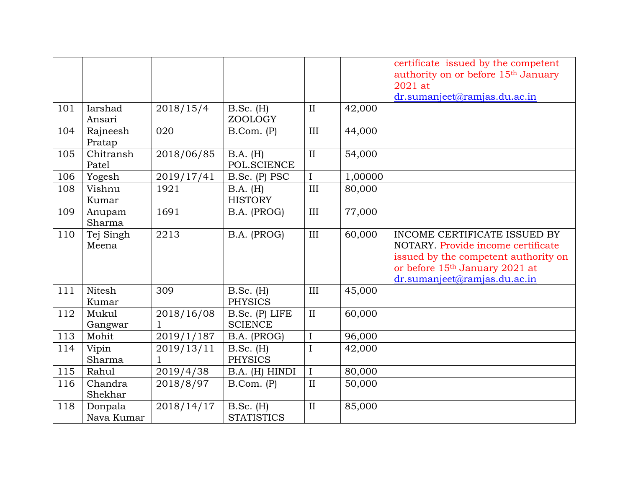|     |                       |                            |                                   |              |         | certificate issued by the competent                                                                                                                                                      |
|-----|-----------------------|----------------------------|-----------------------------------|--------------|---------|------------------------------------------------------------------------------------------------------------------------------------------------------------------------------------------|
|     |                       |                            |                                   |              |         | authority on or before 15 <sup>th</sup> January                                                                                                                                          |
|     |                       |                            |                                   |              |         | 2021 at                                                                                                                                                                                  |
|     |                       |                            |                                   |              |         | $dr$ .sumanjeet@ramjas.du.ac.in                                                                                                                                                          |
| 101 | Iarshad<br>Ansari     | 2018/15/4                  | $B.Sc.$ (H)<br>ZOOLOGY            | $\rm II$     | 42,000  |                                                                                                                                                                                          |
| 104 | Rajneesh<br>Pratap    | 020                        | B. Com. (P)                       | III          | 44,000  |                                                                                                                                                                                          |
| 105 | Chitransh<br>Patel    | 2018/06/85                 | B.A. (H)<br>POL.SCIENCE           | $\mathbf{I}$ | 54,000  |                                                                                                                                                                                          |
| 106 | Yogesh                | 2019/17/41                 | B.Sc. (P) PSC                     | $\mathbf I$  | 1,00000 |                                                                                                                                                                                          |
| 108 | Vishnu<br>Kumar       | 1921                       | <b>B.A.</b> (H)<br><b>HISTORY</b> | III          | 80,000  |                                                                                                                                                                                          |
| 109 | Anupam<br>Sharma      | 1691                       | B.A. (PROG)                       | III          | 77,000  |                                                                                                                                                                                          |
| 110 | Tej Singh<br>Meena    | 2213                       | B.A. (PROG)                       | III          | 60,000  | INCOME CERTIFICATE ISSUED BY<br>NOTARY. Provide income certificate<br>issued by the competent authority on<br>or before 15 <sup>th</sup> January 2021 at<br>dr.sumanjeet@ramjas.du.ac.in |
| 111 | Nitesh<br>Kumar       | 309                        | $B.Sc.$ (H)<br><b>PHYSICS</b>     | III          | 45,000  |                                                                                                                                                                                          |
| 112 | Mukul<br>Gangwar      | 2018/16/08<br>1            | B.Sc. (P) LIFE<br><b>SCIENCE</b>  | II           | 60,000  |                                                                                                                                                                                          |
| 113 | Mohit                 | 2019/1/187                 | B.A. (PROG)                       | $\rm I$      | 96,000  |                                                                                                                                                                                          |
| 114 | Vipin<br>Sharma       | 2019/13/11<br>$\mathbf{1}$ | $B.Sc.$ (H)<br><b>PHYSICS</b>     | I            | 42,000  |                                                                                                                                                                                          |
| 115 | Rahul                 | 2019/4/38                  | B.A. (H) HINDI                    | $\mathbf I$  | 80,000  |                                                                                                                                                                                          |
| 116 | Chandra<br>Shekhar    | 2018/8/97                  | B. Com. (P)                       | II           | 50,000  |                                                                                                                                                                                          |
| 118 | Donpala<br>Nava Kumar | 2018/14/17                 | $B.Sc.$ (H)<br><b>STATISTICS</b>  | $\rm II$     | 85,000  |                                                                                                                                                                                          |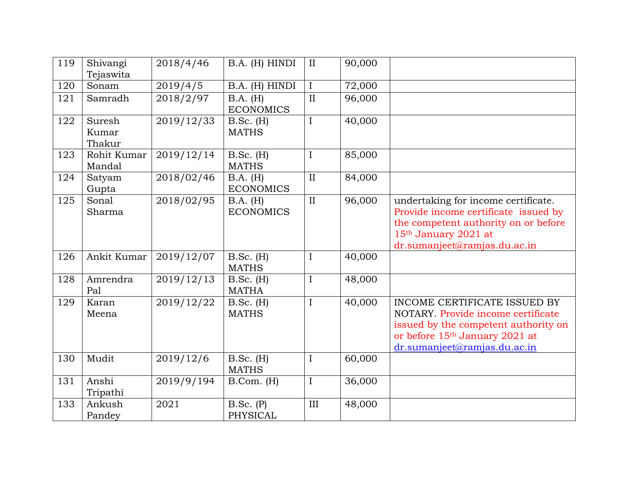| 119 | Shivangi<br>Tejaswita     | 2018/4/46             | B.A. (H) HINDI               | II          | 90,000 |                                                                                                                                                                                          |
|-----|---------------------------|-----------------------|------------------------------|-------------|--------|------------------------------------------------------------------------------------------------------------------------------------------------------------------------------------------|
| 120 | Sonam                     | 2019/4/5              | B.A. (H) HINDI               | $\mathbf I$ | 72,000 |                                                                                                                                                                                          |
| 121 | Samradh                   | 2018/2/97             | B.A. (H)<br><b>ECONOMICS</b> | II          | 96,000 |                                                                                                                                                                                          |
| 122 | Suresh<br>Kumar<br>Thakur | 2019/12/33            | $B.Sc.$ (H)<br><b>MATHS</b>  | $\mathbf I$ | 40,000 |                                                                                                                                                                                          |
| 123 | Rohit Kumar<br>Mandal     | 2019/12/14            | $B.Sc.$ (H)<br><b>MATHS</b>  | $\mathbf I$ | 85,000 |                                                                                                                                                                                          |
| 124 | Satyam<br>Gupta           | 2018/02/46            | B.A. (H)<br><b>ECONOMICS</b> | $\rm II$    | 84,000 |                                                                                                                                                                                          |
| 125 | Sonal<br>Sharma           | 2018/02/95            | B.A. (H)<br><b>ECONOMICS</b> | II          | 96,000 | undertaking for income certificate.<br>Provide income certificate issued by<br>the competent authority on or before<br>15 <sup>th</sup> January 2021 at<br>dr.sumanjeet@ramjas.du.ac.in  |
| 126 | Ankit Kumar               | 2019/12/07            | $B.Sc.$ (H)<br><b>MATHS</b>  | $\rm I$     | 40,000 |                                                                                                                                                                                          |
| 128 | Amrendra<br>Pal           | $\frac{2019}{12}{13}$ | $B.Sc.$ (H)<br><b>MATHA</b>  | $\mathbf I$ | 48,000 |                                                                                                                                                                                          |
| 129 | Karan<br>Meena            | 2019/12/22            | $B.Sc.$ (H)<br><b>MATHS</b>  | $\mathbf I$ | 40,000 | INCOME CERTIFICATE ISSUED BY<br>NOTARY. Provide income certificate<br>issued by the competent authority on<br>or before 15 <sup>th</sup> January 2021 at<br>dr.sumanjeet@ramjas.du.ac.in |
| 130 | Mudit                     | 2019/12/6             | $B.Sc.$ (H)<br><b>MATHS</b>  | $\bf I$     | 60,000 |                                                                                                                                                                                          |
| 131 | Anshi<br>Tripathi         | 2019/9/194            | B. Com. (H)                  | $\mathbf I$ | 36,000 |                                                                                                                                                                                          |
| 133 | Ankush<br>Pandey          | 2021                  | $B.Sc.$ (P)<br>PHYSICAL      | III         | 48,000 |                                                                                                                                                                                          |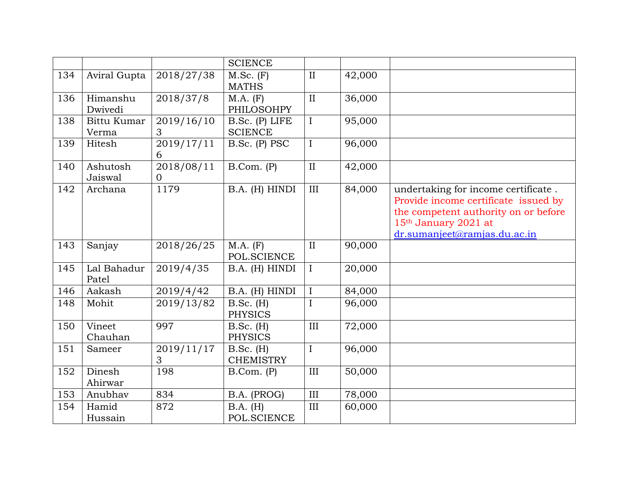|     |                      |                              | <b>SCIENCE</b>                   |             |        |                                                                                                                                                                                         |
|-----|----------------------|------------------------------|----------------------------------|-------------|--------|-----------------------------------------------------------------------------------------------------------------------------------------------------------------------------------------|
| 134 | Aviral Gupta         | 2018/27/38                   | $M.Sc.$ (F)<br><b>MATHS</b>      | $\rm II$    | 42,000 |                                                                                                                                                                                         |
| 136 | Himanshu<br>Dwivedi  | 2018/37/8                    | M.A. (F)<br><b>PHILOSOHPY</b>    | II          | 36,000 |                                                                                                                                                                                         |
| 138 | Bittu Kumar<br>Verma | 2019/16/10<br>3              | B.Sc. (P) LIFE<br><b>SCIENCE</b> | $\mathbf I$ | 95,000 |                                                                                                                                                                                         |
| 139 | Hitesh               | $\frac{2019}{17}$<br>6       | B.Sc. (P) PSC                    | $\mathbf I$ | 96,000 |                                                                                                                                                                                         |
| 140 | Ashutosh<br>Jaiswal  | 2018/08/11<br>$\Omega$       | B. Com. (P)                      | II          | 42,000 |                                                                                                                                                                                         |
| 142 | Archana              | 1179                         | B.A. (H) HINDI                   | III         | 84,000 | undertaking for income certificate.<br>Provide income certificate issued by<br>the competent authority on or before<br>15 <sup>th</sup> January 2021 at<br>dr.sumanjeet@ramjas.du.ac.in |
| 143 | Sanjay               | 2018/26/25                   | M.A. (F)<br>POL.SCIENCE          | II          | 90,000 |                                                                                                                                                                                         |
| 145 | Lal Bahadur<br>Patel | 2019/4/35                    | B.A. (H) HINDI                   | $\mathbf I$ | 20,000 |                                                                                                                                                                                         |
| 146 | Aakash               | 2019/4/42                    | B.A. (H) HINDI                   | $\mathbf I$ | 84,000 |                                                                                                                                                                                         |
| 148 | Mohit                | 2019/13/82                   | $B.Sc.$ (H)<br><b>PHYSICS</b>    | Ι           | 96,000 |                                                                                                                                                                                         |
| 150 | Vineet<br>Chauhan    | 997                          | $B.Sc.$ (H)<br><b>PHYSICS</b>    | III         | 72,000 |                                                                                                                                                                                         |
| 151 | Sameer               | 2019/11/17<br>$\mathfrak{S}$ | $B.Sc.$ (H)<br><b>CHEMISTRY</b>  | $\mathbf I$ | 96,000 |                                                                                                                                                                                         |
| 152 | Dinesh<br>Ahirwar    | 198                          | B. Com. (P)                      | III         | 50,000 |                                                                                                                                                                                         |
| 153 | Anubhav              | 834                          | B.A. (PROG)                      | III         | 78,000 |                                                                                                                                                                                         |
| 154 | Hamid<br>Hussain     | 872                          | B.A. (H)<br>POL.SCIENCE          | III         | 60,000 |                                                                                                                                                                                         |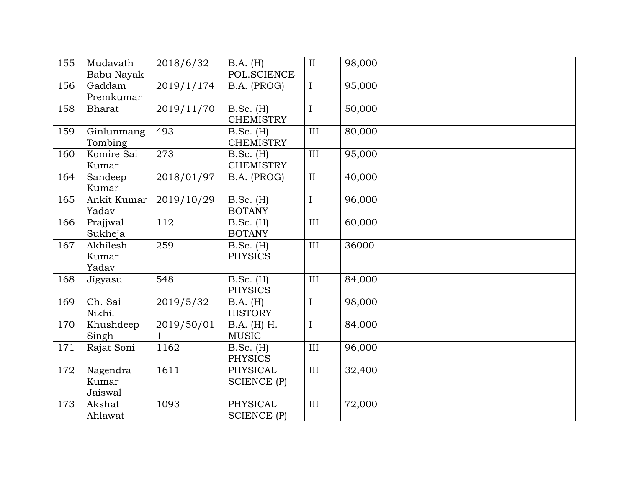| 155 | Mudavath<br>Babu Nayak       | 2018/6/32             | B.A. (H)<br>POL.SCIENCE               | $\rm II$    | 98,000              |  |
|-----|------------------------------|-----------------------|---------------------------------------|-------------|---------------------|--|
| 156 | Gaddam<br>Premkumar          | 2019/1/174            | B.A. (PROG)                           | $\mathbf I$ | 95,000              |  |
| 158 | <b>Bharat</b>                | $\frac{2019}{11}{70}$ | $B.Sc.$ (H)<br><b>CHEMISTRY</b>       | $\mathbf I$ | $\overline{50,000}$ |  |
| 159 | Ginlunmang<br>Tombing        | 493                   | $B.Sc.$ (H)<br><b>CHEMISTRY</b>       | III         | 80,000              |  |
| 160 | Komire Sai<br>Kumar          | 273                   | $B.Sc.$ (H)<br><b>CHEMISTRY</b>       | III         | 95,000              |  |
| 164 | Sandeep<br>Kumar             | 2018/01/97            | B.A. (PROG)                           | $\rm II$    | 40,000              |  |
| 165 | Ankit Kumar<br>Yadav         | 2019/10/29            | $B.Sc.$ (H)<br><b>BOTANY</b>          | $\mathbf I$ | 96,000              |  |
| 166 | Prajjwal<br>Sukheja          | 112                   | $B.Sc.$ (H)<br><b>BOTANY</b>          | III         | 60,000              |  |
| 167 | Akhilesh<br>Kumar<br>Yadav   | 259                   | $B.Sc.$ (H)<br><b>PHYSICS</b>         | III         | 36000               |  |
| 168 | Jigyasu                      | 548                   | $B.Sc.$ (H)<br><b>PHYSICS</b>         | III         | 84,000              |  |
| 169 | Ch. Sai<br>Nikhil            | 2019/5/32             | B.A. (H)<br><b>HISTORY</b>            | $\mathbf I$ | 98,000              |  |
| 170 | Khushdeep<br>Singh           | 2019/50/01<br>1       | B.A. (H) H.<br><b>MUSIC</b>           | $\rm I$     | 84,000              |  |
| 171 | Rajat Soni                   | 1162                  | $B.Sc.$ (H)<br><b>PHYSICS</b>         | III         | 96,000              |  |
| 172 | Nagendra<br>Kumar<br>Jaiswal | 1611                  | PHYSICAL<br><b>SCIENCE (P)</b>        | III         | 32,400              |  |
| 173 | Akshat<br>Ahlawat            | 1093                  | <b>PHYSICAL</b><br><b>SCIENCE (P)</b> | III         | 72,000              |  |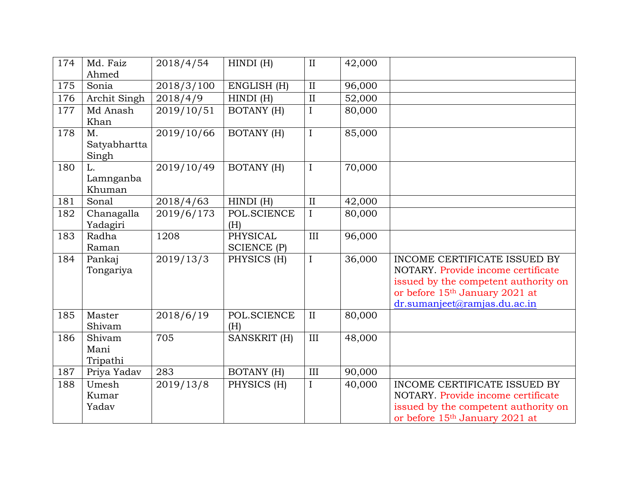| 174 | Md. Faiz<br>Ahmed           | 2018/4/54  | HINDI (H)                      | $\rm II$    | 42,000 |                                                                                                                                                                                          |
|-----|-----------------------------|------------|--------------------------------|-------------|--------|------------------------------------------------------------------------------------------------------------------------------------------------------------------------------------------|
| 175 | Sonia                       | 2018/3/100 | ENGLISH (H)                    | $\rm II$    | 96,000 |                                                                                                                                                                                          |
| 176 | Archit Singh                | 2018/4/9   | HINDI (H)                      | $\rm II$    | 52,000 |                                                                                                                                                                                          |
| 177 | Md Anash<br>Khan            | 2019/10/51 | BOTANY (H)                     | $\bf{I}$    | 80,000 |                                                                                                                                                                                          |
| 178 | M.<br>Satyabhartta<br>Singh | 2019/10/66 | <b>BOTANY</b> (H)              | $\mathbf I$ | 85,000 |                                                                                                                                                                                          |
| 180 | L.<br>Lamnganba<br>Khuman   | 2019/10/49 | <b>BOTANY</b> (H)              | $\mathbf I$ | 70,000 |                                                                                                                                                                                          |
| 181 | Sonal                       | 2018/4/63  | HINDI (H)                      | $\rm II$    | 42,000 |                                                                                                                                                                                          |
| 182 | Chanagalla<br>Yadagiri      | 2019/6/173 | POL.SCIENCE<br>(H)             | I           | 80,000 |                                                                                                                                                                                          |
| 183 | Radha<br>Raman              | 1208       | PHYSICAL<br><b>SCIENCE (P)</b> | III         | 96,000 |                                                                                                                                                                                          |
| 184 | Pankaj<br>Tongariya         | 2019/13/3  | PHYSICS (H)                    | I           | 36,000 | INCOME CERTIFICATE ISSUED BY<br>NOTARY. Provide income certificate<br>issued by the competent authority on<br>or before 15 <sup>th</sup> January 2021 at<br>dr.sumanjeet@ramjas.du.ac.in |
| 185 | Master<br>Shivam            | 2018/6/19  | POL.SCIENCE<br>(H)             | II          | 80,000 |                                                                                                                                                                                          |
| 186 | Shivam<br>Mani<br>Tripathi  | 705        | SANSKRIT (H)                   | III         | 48,000 |                                                                                                                                                                                          |
| 187 | Priya Yadav                 | 283        | BOTANY (H)                     | III         | 90,000 |                                                                                                                                                                                          |
| 188 | Umesh<br>Kumar<br>Yadav     | 2019/13/8  | PHYSICS (H)                    | $\mathbf I$ | 40,000 | INCOME CERTIFICATE ISSUED BY<br>NOTARY. Provide income certificate<br>issued by the competent authority on<br>or before 15 <sup>th</sup> January 2021 at                                 |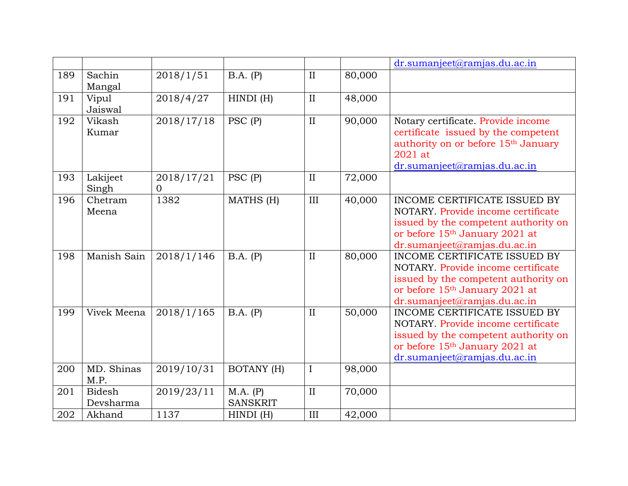|     |                            |                 |                             |             |        | $dr$ .sumanjeet@ramjas.du.ac.in                                                                                                                                                                 |
|-----|----------------------------|-----------------|-----------------------------|-------------|--------|-------------------------------------------------------------------------------------------------------------------------------------------------------------------------------------------------|
| 189 | Sachin<br>Mangal           | 2018/1/51       | B.A. (P)                    | $\rm II$    | 80,000 |                                                                                                                                                                                                 |
| 191 | Vipul<br>Jaiswal           | 2018/4/27       | HINDI (H)                   | II          | 48,000 |                                                                                                                                                                                                 |
| 192 | Vikash<br>Kumar            | 2018/17/18      | PSC (P)                     | $\rm II$    | 90,000 | Notary certificate. Provide income<br>certificate issued by the competent<br>authority on or before 15 <sup>th</sup> January<br>2021 at<br>dr.sumanjeet@ramjas.du.ac.in                         |
| 193 | Lakijeet<br>Singh          | 2018/17/21<br>0 | PSC (P)                     | $\rm II$    | 72,000 |                                                                                                                                                                                                 |
| 196 | Chetram<br>Meena           | 1382            | MATHS (H)                   | III         | 40,000 | INCOME CERTIFICATE ISSUED BY<br>NOTARY. Provide income certificate<br>issued by the competent authority on<br>or before 15 <sup>th</sup> January 2021 at<br>dr.sumanjeet@ramjas.du.ac.in        |
| 198 | Manish Sain                | 2018/1/146      | B.A. (P)                    | II          | 80,000 | <b>INCOME CERTIFICATE ISSUED BY</b><br>NOTARY. Provide income certificate<br>issued by the competent authority on<br>or before 15 <sup>th</sup> January 2021 at<br>dr.sumanjeet@ramjas.du.ac.in |
| 199 | Vivek Meena                | 2018/1/165      | B.A. (P)                    | $\rm II$    | 50,000 | <b>INCOME CERTIFICATE ISSUED BY</b><br>NOTARY. Provide income certificate<br>issued by the competent authority on<br>or before 15 <sup>th</sup> January 2021 at<br>dr.sumanjeet@ramjas.du.ac.in |
| 200 | MD. Shinas<br>M.P.         | 2019/10/31      | BOTANY (H)                  | $\mathbf I$ | 98,000 |                                                                                                                                                                                                 |
| 201 | <b>Bidesh</b><br>Devsharma | 2019/23/11      | M.A. (P)<br><b>SANSKRIT</b> | $\rm II$    | 70,000 |                                                                                                                                                                                                 |
| 202 | Akhand                     | 1137            | HINDI (H)                   | III         | 42,000 |                                                                                                                                                                                                 |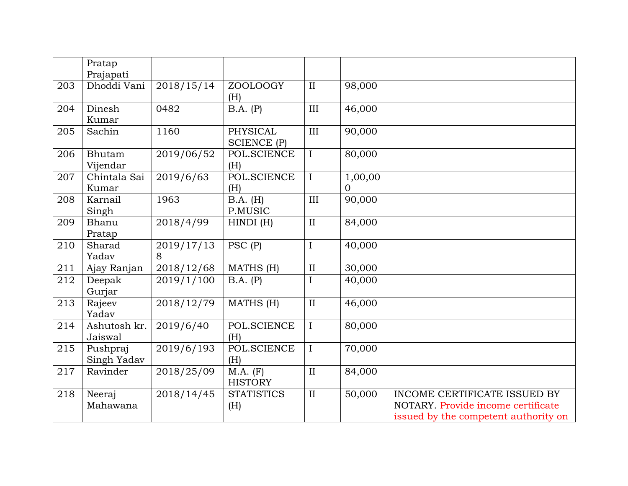|     | Pratap<br>Prajapati     |                   |                                       |             |                     |                                                                                                            |
|-----|-------------------------|-------------------|---------------------------------------|-------------|---------------------|------------------------------------------------------------------------------------------------------------|
| 203 | Dhoddi Vani             | $\frac{2018}{15}$ | ZOOLOOGY<br>(H)                       | II          | 98,000              |                                                                                                            |
| 204 | Dinesh<br>Kumar         | 0482              | B.A. (P)                              | III         | 46,000              |                                                                                                            |
| 205 | Sachin                  | 1160              | <b>PHYSICAL</b><br><b>SCIENCE (P)</b> | III         | 90,000              |                                                                                                            |
| 206 | Bhutam<br>Vijendar      | 2019/06/52        | POL.SCIENCE<br>(H)                    | $\mathbf I$ | 80,000              |                                                                                                            |
| 207 | Chintala Sai<br>Kumar   | 2019/6/63         | POL.SCIENCE<br>(H)                    | $\mathbf I$ | 1,00,00<br>$\Omega$ |                                                                                                            |
| 208 | Karnail<br>Singh        | 1963              | B.A. (H)<br>P.MUSIC                   | III         | 90,000              |                                                                                                            |
| 209 | Bhanu<br>Pratap         | 2018/4/99         | HINDI (H)                             | II          | 84,000              |                                                                                                            |
| 210 | Sharad<br>Yadav         | 2019/17/13<br>8   | PSC (P)                               | $\mathbf I$ | 40,000              |                                                                                                            |
| 211 | Ajay Ranjan             | 2018/12/68        | MATHS (H)                             | II          | 30,000              |                                                                                                            |
| 212 | Deepak<br>Gurjar        | 2019/1/100        | B.A. (P)                              | $\mathbf I$ | 40,000              |                                                                                                            |
| 213 | Rajeev<br>Yadav         | 2018/12/79        | MATHS (H)                             | II          | 46,000              |                                                                                                            |
| 214 | Ashutosh kr.<br>Jaiswal | 2019/6/40         | POL.SCIENCE<br>(H)                    | $\mathbf I$ | 80,000              |                                                                                                            |
| 215 | Pushpraj<br>Singh Yadav | 2019/6/193        | POL.SCIENCE<br>(H)                    | $\mathbf I$ | 70,000              |                                                                                                            |
| 217 | Ravinder                | 2018/25/09        | M.A. (F)<br><b>HISTORY</b>            | II          | 84,000              |                                                                                                            |
| 218 | Neeraj<br>Mahawana      | 2018/14/45        | <b>STATISTICS</b><br>(H)              | II          | 50,000              | INCOME CERTIFICATE ISSUED BY<br>NOTARY. Provide income certificate<br>issued by the competent authority on |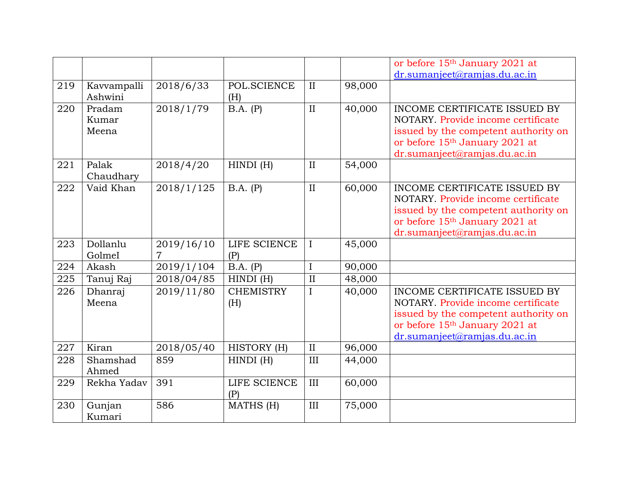|     |                        |                |                     |             |        | or before 15 <sup>th</sup> January 2021 at |
|-----|------------------------|----------------|---------------------|-------------|--------|--------------------------------------------|
|     |                        |                |                     |             |        | dr.sumanjeet@ramjas.du.ac.in               |
| 219 | Kavvampalli<br>Ashwini | 2018/6/33      | POL.SCIENCE<br>(H)  | II          | 98,000 |                                            |
| 220 | Pradam                 | 2018/1/79      | B.A. (P)            | $\rm II$    | 40,000 | INCOME CERTIFICATE ISSUED BY               |
|     | Kumar                  |                |                     |             |        | NOTARY. Provide income certificate         |
|     | Meena                  |                |                     |             |        | issued by the competent authority on       |
|     |                        |                |                     |             |        | or before 15 <sup>th</sup> January 2021 at |
|     |                        |                |                     |             |        | dr.sumanjeet@ramjas.du.ac.in               |
| 221 | Palak<br>Chaudhary     | 2018/4/20      | HINDI (H)           | II          | 54,000 |                                            |
| 222 | Vaid Khan              | 2018/1/125     | B.A. (P)            | $\rm II$    | 60,000 | INCOME CERTIFICATE ISSUED BY               |
|     |                        |                |                     |             |        | NOTARY. Provide income certificate         |
|     |                        |                |                     |             |        | issued by the competent authority on       |
|     |                        |                |                     |             |        | or before 15 <sup>th</sup> January 2021 at |
|     |                        |                |                     |             |        | dr.sumanjeet@ramjas.du.ac.in               |
| 223 | Dollanlu               | 2019/16/10     | LIFE SCIENCE        | $\mathbf I$ | 45,000 |                                            |
|     | GolmeI                 | $\overline{7}$ | (P)                 |             |        |                                            |
| 224 | Akash                  | 2019/1/104     | <b>B.A.</b> (P)     | $\rm I$     | 90,000 |                                            |
| 225 | Tanuj Raj              | 2018/04/85     | HINDI (H)           | $\rm II$    | 48,000 |                                            |
| 226 | Dhanraj                | 2019/11/80     | <b>CHEMISTRY</b>    | $\mathbf I$ | 40,000 | INCOME CERTIFICATE ISSUED BY               |
|     | Meena                  |                | (H)                 |             |        | NOTARY. Provide income certificate         |
|     |                        |                |                     |             |        | issued by the competent authority on       |
|     |                        |                |                     |             |        | or before 15 <sup>th</sup> January 2021 at |
|     |                        |                |                     |             |        | dr.sumanjeet@ramjas.du.ac.in               |
| 227 | Kiran                  | 2018/05/40     | HISTORY (H)         | II          | 96,000 |                                            |
| 228 | Shamshad               | 859            | HINDI (H)           | III         | 44,000 |                                            |
|     | Ahmed                  |                |                     |             |        |                                            |
| 229 | Rekha Yadav            | 391            | LIFE SCIENCE<br>(P) | III         | 60,000 |                                            |
| 230 | Gunjan<br>Kumari       | 586            | MATHS (H)           | III         | 75,000 |                                            |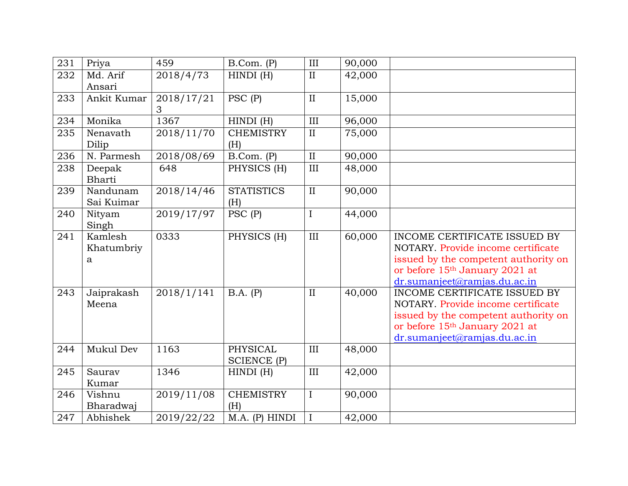| Priya       | 459                                                                                                                          | B. Com. (P)                                                                                                           | III                                                                                                                                                   | 90,000                                                                            |                                                                                                  |
|-------------|------------------------------------------------------------------------------------------------------------------------------|-----------------------------------------------------------------------------------------------------------------------|-------------------------------------------------------------------------------------------------------------------------------------------------------|-----------------------------------------------------------------------------------|--------------------------------------------------------------------------------------------------|
| Md. Arif    | 2018/4/73                                                                                                                    | HINDI (H)                                                                                                             | $\rm II$                                                                                                                                              | 42,000                                                                            |                                                                                                  |
| Ansari      |                                                                                                                              |                                                                                                                       |                                                                                                                                                       |                                                                                   |                                                                                                  |
| Ankit Kumar | 2018/17/21                                                                                                                   | PSC (P)                                                                                                               | II                                                                                                                                                    | 15,000                                                                            |                                                                                                  |
|             |                                                                                                                              |                                                                                                                       |                                                                                                                                                       |                                                                                   |                                                                                                  |
|             |                                                                                                                              |                                                                                                                       |                                                                                                                                                       |                                                                                   |                                                                                                  |
| Nenavath    |                                                                                                                              |                                                                                                                       |                                                                                                                                                       |                                                                                   |                                                                                                  |
| Dilip       |                                                                                                                              | (H)                                                                                                                   |                                                                                                                                                       |                                                                                   |                                                                                                  |
|             |                                                                                                                              |                                                                                                                       |                                                                                                                                                       |                                                                                   |                                                                                                  |
| Deepak      | 648                                                                                                                          | PHYSICS (H)                                                                                                           | III                                                                                                                                                   | 48,000                                                                            |                                                                                                  |
| Bharti      |                                                                                                                              |                                                                                                                       |                                                                                                                                                       |                                                                                   |                                                                                                  |
| Nandunam    |                                                                                                                              |                                                                                                                       |                                                                                                                                                       |                                                                                   |                                                                                                  |
|             |                                                                                                                              | (H)                                                                                                                   |                                                                                                                                                       |                                                                                   |                                                                                                  |
|             |                                                                                                                              |                                                                                                                       |                                                                                                                                                       |                                                                                   |                                                                                                  |
|             |                                                                                                                              |                                                                                                                       |                                                                                                                                                       |                                                                                   |                                                                                                  |
|             |                                                                                                                              |                                                                                                                       |                                                                                                                                                       |                                                                                   | INCOME CERTIFICATE ISSUED BY                                                                     |
|             |                                                                                                                              |                                                                                                                       |                                                                                                                                                       |                                                                                   | NOTARY. Provide income certificate                                                               |
| a           |                                                                                                                              |                                                                                                                       |                                                                                                                                                       |                                                                                   | issued by the competent authority on                                                             |
|             |                                                                                                                              |                                                                                                                       |                                                                                                                                                       |                                                                                   | or before 15 <sup>th</sup> January 2021 at                                                       |
|             |                                                                                                                              |                                                                                                                       |                                                                                                                                                       |                                                                                   | $dr$ .sumanjeet@ramjas.du.ac.in                                                                  |
|             |                                                                                                                              |                                                                                                                       |                                                                                                                                                       |                                                                                   | INCOME CERTIFICATE ISSUED BY                                                                     |
|             |                                                                                                                              |                                                                                                                       |                                                                                                                                                       |                                                                                   | NOTARY. Provide income certificate                                                               |
|             |                                                                                                                              |                                                                                                                       |                                                                                                                                                       |                                                                                   | issued by the competent authority on                                                             |
|             |                                                                                                                              |                                                                                                                       |                                                                                                                                                       |                                                                                   | or before 15 <sup>th</sup> January 2021 at                                                       |
|             |                                                                                                                              |                                                                                                                       |                                                                                                                                                       |                                                                                   | dr.sumanjeet@ramjas.du.ac.in                                                                     |
|             |                                                                                                                              |                                                                                                                       |                                                                                                                                                       |                                                                                   |                                                                                                  |
|             |                                                                                                                              |                                                                                                                       |                                                                                                                                                       |                                                                                   |                                                                                                  |
| Kumar       |                                                                                                                              |                                                                                                                       |                                                                                                                                                       |                                                                                   |                                                                                                  |
| Vishnu      |                                                                                                                              | <b>CHEMISTRY</b>                                                                                                      | $\mathbf I$                                                                                                                                           |                                                                                   |                                                                                                  |
| Bharadwaj   |                                                                                                                              | (H)                                                                                                                   |                                                                                                                                                       |                                                                                   |                                                                                                  |
| Abhishek    | 2019/22/22                                                                                                                   | $M.A.$ (P) HINDI                                                                                                      | $\mathbf I$                                                                                                                                           | 42,000                                                                            |                                                                                                  |
|             | Monika<br>N. Parmesh<br>Sai Kuimar<br>Nityam<br>Singh<br>Kamlesh<br>Khatumbriy<br>Jaiprakash<br>Meena<br>Mukul Dev<br>Saurav | 3<br>1367<br>2018/11/70<br>2018/08/69<br>2018/14/46<br>2019/17/97<br>0333<br>2018/1/141<br>1163<br>1346<br>2019/11/08 | HINDI (H)<br><b>CHEMISTRY</b><br>B.Com. (P)<br><b>STATISTICS</b><br>PSC (P)<br>PHYSICS (H)<br>B.A. (P)<br><b>PHYSICAL</b><br>SCIENCE (P)<br>HINDI (H) | III<br>II<br>$\rm II$<br>$\rm II$<br>$\mathbf I$<br>III<br>$\rm II$<br>III<br>III | 96,000<br>75,000<br>90,000<br>90,000<br>44,000<br>60,000<br>40,000<br>48,000<br>42,000<br>90,000 |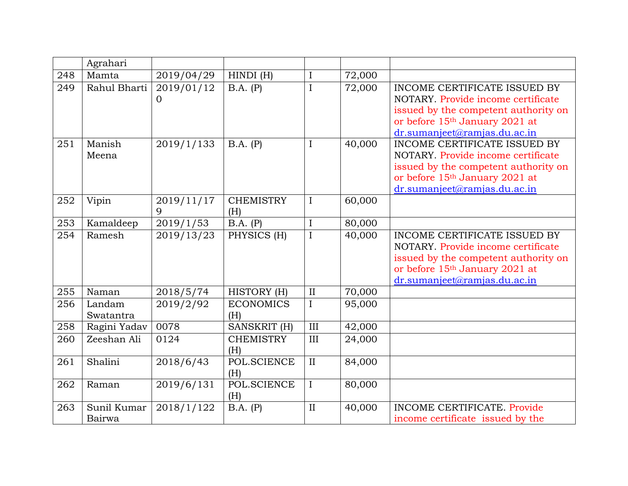|     | Agrahari              |                         |                         |             |        |                                                                                                                                                                                          |
|-----|-----------------------|-------------------------|-------------------------|-------------|--------|------------------------------------------------------------------------------------------------------------------------------------------------------------------------------------------|
| 248 | Mamta                 | 2019/04/29              | HINDI (H)               | $\rm I$     | 72,000 |                                                                                                                                                                                          |
| 249 | Rahul Bharti          | 2019/01/12<br>$\Omega$  | B.A. (P)                | I           | 72,000 | INCOME CERTIFICATE ISSUED BY<br>NOTARY. Provide income certificate<br>issued by the competent authority on<br>or before 15 <sup>th</sup> January 2021 at<br>dr.sumanjeet@ramjas.du.ac.in |
| 251 | Manish<br>Meena       | 2019/1/133              | B.A. (P)                | $\mathbf I$ | 40,000 | INCOME CERTIFICATE ISSUED BY<br>NOTARY. Provide income certificate<br>issued by the competent authority on<br>or before 15 <sup>th</sup> January 2021 at<br>dr.sumanjeet@ramjas.du.ac.in |
| 252 | Vipin                 | 2019/11/17<br>9         | <b>CHEMISTRY</b><br>(H) | I           | 60,000 |                                                                                                                                                                                          |
| 253 | Kamaldeep             | 2019/1/53               | <b>B.A.</b> (P)         | $\rm I$     | 80,000 |                                                                                                                                                                                          |
| 254 | Ramesh                | $\overline{2019/13/23}$ | PHYSICS (H)             | $\bf{I}$    | 40,000 | INCOME CERTIFICATE ISSUED BY<br>NOTARY. Provide income certificate<br>issued by the competent authority on<br>or before 15 <sup>th</sup> January 2021 at<br>dr.sumanjeet@ramjas.du.ac.in |
| 255 | Naman                 | 2018/5/74               | HISTORY (H)             | $\rm II$    | 70,000 |                                                                                                                                                                                          |
| 256 | Landam<br>Swatantra   | 2019/2/92               | <b>ECONOMICS</b><br>(H) | I           | 95,000 |                                                                                                                                                                                          |
| 258 | Ragini Yadav          | 0078                    | SANSKRIT (H)            | III         | 42,000 |                                                                                                                                                                                          |
| 260 | Zeeshan Ali           | 0124                    | <b>CHEMISTRY</b><br>(H) | III         | 24,000 |                                                                                                                                                                                          |
| 261 | Shalini               | 2018/6/43               | POL.SCIENCE<br>(H)      | $\rm II$    | 84,000 |                                                                                                                                                                                          |
| 262 | Raman                 | 2019/6/131              | POL.SCIENCE<br>(H)      | $\mathbf I$ | 80,000 |                                                                                                                                                                                          |
| 263 | Sunil Kumar<br>Bairwa | 2018/1/122              | B.A. (P)                | $\rm II$    | 40,000 | <b>INCOME CERTIFICATE. Provide</b><br>income certificate issued by the                                                                                                                   |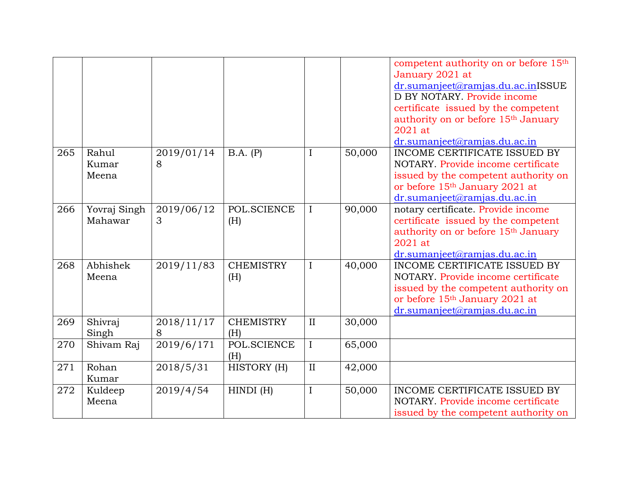|     |                         |                 |                         |             |        | competent authority on or before 15 <sup>th</sup><br>January 2021 at<br>dr.sumanjeet@ramjas.du.ac.inISSUE<br>D BY NOTARY. Provide income<br>certificate issued by the competent<br>authority on or before 15 <sup>th</sup> January<br>2021 at<br>dr.sumanjeet@ramjas.du.ac.in |
|-----|-------------------------|-----------------|-------------------------|-------------|--------|-------------------------------------------------------------------------------------------------------------------------------------------------------------------------------------------------------------------------------------------------------------------------------|
| 265 | Rahul<br>Kumar<br>Meena | 2019/01/14<br>8 | B.A. (P)                | $\mathbf I$ | 50,000 | INCOME CERTIFICATE ISSUED BY<br>NOTARY. Provide income certificate<br>issued by the competent authority on<br>or before 15 <sup>th</sup> January 2021 at<br>dr.sumanjeet@ramjas.du.ac.in                                                                                      |
| 266 | Yovraj Singh<br>Mahawar | 2019/06/12<br>3 | POL.SCIENCE<br>(H)      | Ι           | 90,000 | notary certificate. Provide income<br>certificate issued by the competent<br>authority on or before 15 <sup>th</sup> January<br>2021 at<br>dr.sumanjeet@ramjas.du.ac.in                                                                                                       |
| 268 | Abhishek<br>Meena       | 2019/11/83      | <b>CHEMISTRY</b><br>(H) | I           | 40,000 | INCOME CERTIFICATE ISSUED BY<br>NOTARY. Provide income certificate<br>issued by the competent authority on<br>or before 15 <sup>th</sup> January 2021 at<br>$dr$ .sumanjeet@ramjas.du.ac.in                                                                                   |
| 269 | Shivraj<br>Singh        | 2018/11/17<br>8 | <b>CHEMISTRY</b><br>(H) | II          | 30,000 |                                                                                                                                                                                                                                                                               |
| 270 | Shivam Raj              | 2019/6/171      | POL.SCIENCE<br>(H)      | $\mathbf I$ | 65,000 |                                                                                                                                                                                                                                                                               |
| 271 | Rohan<br>Kumar          | 2018/5/31       | HISTORY (H)             | $\rm II$    | 42,000 |                                                                                                                                                                                                                                                                               |
| 272 | Kuldeep<br>Meena        | 2019/4/54       | HINDI (H)               | $\mathbf I$ | 50,000 | INCOME CERTIFICATE ISSUED BY<br>NOTARY. Provide income certificate<br>issued by the competent authority on                                                                                                                                                                    |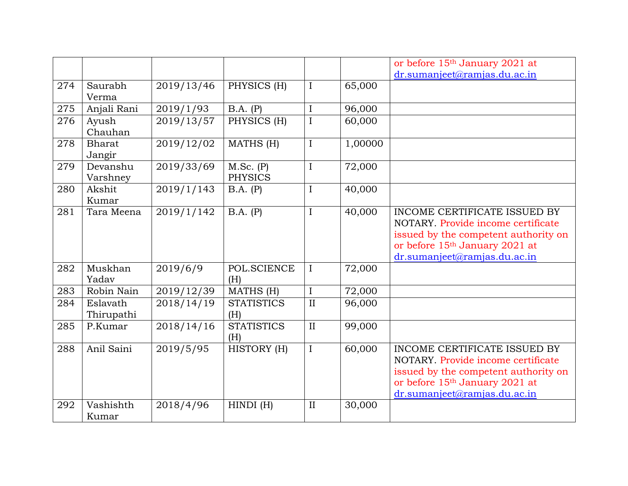|     |                         |            |                               |               |         | or before 15 <sup>th</sup> January 2021 at                                                                                                                                               |
|-----|-------------------------|------------|-------------------------------|---------------|---------|------------------------------------------------------------------------------------------------------------------------------------------------------------------------------------------|
|     |                         |            |                               |               |         | dr.sumanjeet@ramjas.du.ac.in                                                                                                                                                             |
| 274 | Saurabh<br>Verma        | 2019/13/46 | PHYSICS (H)                   | $\mathbf I$   | 65,000  |                                                                                                                                                                                          |
| 275 | Anjali Rani             | 2019/1/93  | B.A. (P)                      | $\mathbf I$   | 96,000  |                                                                                                                                                                                          |
| 276 | Ayush<br>Chauhan        | 2019/13/57 | PHYSICS (H)                   | $\mathbf I$   | 60,000  |                                                                                                                                                                                          |
| 278 | <b>Bharat</b><br>Jangir | 2019/12/02 | MATHS (H)                     | $\mathbf I$   | 1,00000 |                                                                                                                                                                                          |
| 279 | Devanshu<br>Varshney    | 2019/33/69 | $M.Sc.$ (P)<br><b>PHYSICS</b> | $\mathbf I$   | 72,000  |                                                                                                                                                                                          |
| 280 | Akshit<br>Kumar         | 2019/1/143 | B.A. (P)                      | $\mathbf I$   | 40,000  |                                                                                                                                                                                          |
| 281 | Tara Meena              | 2019/1/142 | B.A. (P)                      | $\mathbf I$   | 40,000  | INCOME CERTIFICATE ISSUED BY<br>NOTARY. Provide income certificate<br>issued by the competent authority on<br>or before 15 <sup>th</sup> January 2021 at<br>dr.sumanjeet@ramjas.du.ac.in |
| 282 | Muskhan<br>Yadav        | 2019/6/9   | POL.SCIENCE<br>(H)            | $\bf{I}$      | 72,000  |                                                                                                                                                                                          |
| 283 | Robin Nain              | 2019/12/39 | MATHS (H)                     | $\mathbf I$   | 72,000  |                                                                                                                                                                                          |
| 284 | Eslavath<br>Thirupathi  | 2018/14/19 | <b>STATISTICS</b><br>(H)      | $\mathbf{I}$  | 96,000  |                                                                                                                                                                                          |
| 285 | P.Kumar                 | 2018/14/16 | <b>STATISTICS</b><br>(H)      | $\mathbf{II}$ | 99,000  |                                                                                                                                                                                          |
| 288 | Anil Saini              | 2019/5/95  | HISTORY (H)                   | $\mathbf I$   | 60,000  | INCOME CERTIFICATE ISSUED BY<br>NOTARY. Provide income certificate<br>issued by the competent authority on<br>or before 15 <sup>th</sup> January 2021 at<br>dr.sumanjeet@ramjas.du.ac.in |
| 292 | Vashishth<br>Kumar      | 2018/4/96  | HINDI (H)                     | $\rm II$      | 30,000  |                                                                                                                                                                                          |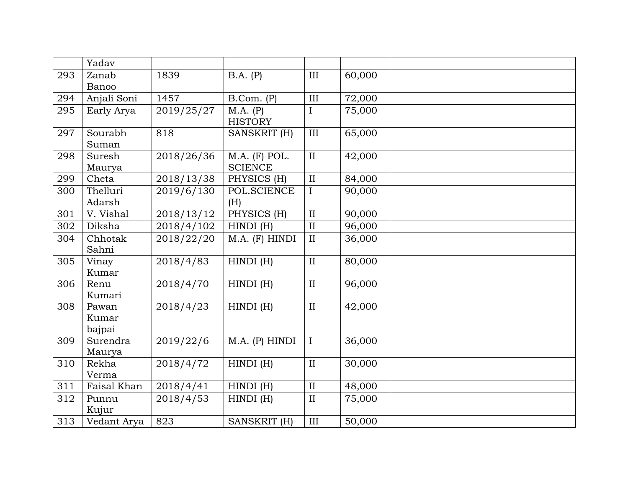|     | Yadav       |            |                     |              |        |  |
|-----|-------------|------------|---------------------|--------------|--------|--|
| 293 | Zanab       | 1839       | B.A. (P)            | III          | 60,000 |  |
|     | Banoo       |            |                     |              |        |  |
| 294 | Anjali Soni | 1457       | B. Com. (P)         | III          | 72,000 |  |
| 295 | Early Arya  | 2019/25/27 | M.A. (P)            | $\mathbf I$  | 75,000 |  |
|     |             |            | <b>HISTORY</b>      |              |        |  |
| 297 | Sourabh     | 818        | SANSKRIT (H)        | III          | 65,000 |  |
|     | Suman       |            |                     |              |        |  |
| 298 | Suresh      | 2018/26/36 | $M.A.$ (F) POL.     | $\rm II$     | 42,000 |  |
|     | Maurya      |            | <b>SCIENCE</b>      |              |        |  |
| 299 | Cheta       | 2018/13/38 | PHYSICS (H)         | $\rm II$     | 84,000 |  |
| 300 | Thelluri    | 2019/6/130 | POL.SCIENCE         | $\mathbf I$  | 90,000 |  |
|     | Adarsh      |            | (H)                 |              |        |  |
| 301 | V. Vishal   | 2018/13/12 | PHYSICS (H)         | $\rm II$     | 90,000 |  |
| 302 | Diksha      | 2018/4/102 | HINDI (H)           | $\rm II$     | 96,000 |  |
| 304 | Chhotak     | 2018/22/20 | M.A. (F) HINDI      | $\rm II$     | 36,000 |  |
|     | Sahni       |            |                     |              |        |  |
| 305 | Vinay       | 2018/4/83  | HINDI (H)           | $\rm II$     | 80,000 |  |
|     | Kumar       |            |                     |              |        |  |
| 306 | Renu        | 2018/4/70  | HINDI (H)           | II           | 96,000 |  |
|     | Kumari      |            |                     |              |        |  |
| 308 | Pawan       | 2018/4/23  | HINDI (H)           | $\mathbf{I}$ | 42,000 |  |
|     | Kumar       |            |                     |              |        |  |
|     | bajpai      |            |                     |              |        |  |
| 309 | Surendra    | 2019/22/6  | M.A. (P) HINDI      | $\bf{I}$     | 36,000 |  |
|     | Maurya      |            |                     |              |        |  |
| 310 | Rekha       | 2018/4/72  | HINDI (H)           | $\rm II$     | 30,000 |  |
|     | Verma       |            |                     |              |        |  |
| 311 | Faisal Khan | 2018/4/41  | HINDI (H)           | $\rm II$     | 48,000 |  |
| 312 | Punnu       | 2018/4/53  | HINDI (H)           | $\rm II$     | 75,000 |  |
|     | Kujur       |            |                     |              |        |  |
| 313 | Vedant Arya | 823        | <b>SANSKRIT (H)</b> | III          | 50,000 |  |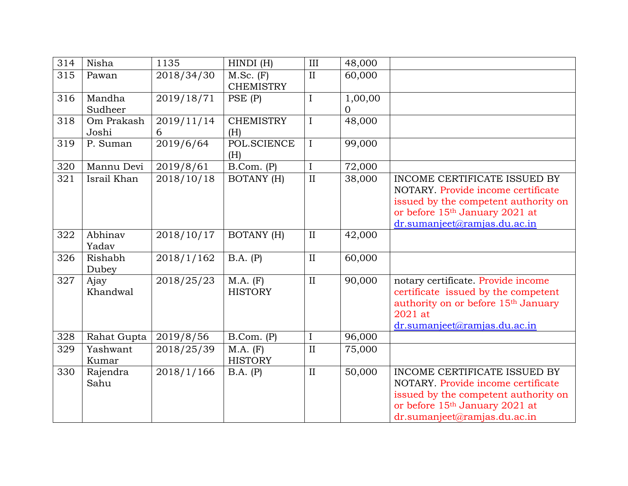| 314 | Nisha       | 1135       | HINDI (H)                       | III           | 48,000   |                                                 |
|-----|-------------|------------|---------------------------------|---------------|----------|-------------------------------------------------|
| 315 | Pawan       | 2018/34/30 | $M.Sc.$ (F)<br><b>CHEMISTRY</b> | $\mathbf{II}$ | 60,000   |                                                 |
| 316 | Mandha      | 2019/18/71 | PSE (P)                         | $\mathbf I$   | 1,00,00  |                                                 |
|     | Sudheer     |            |                                 |               | $\Omega$ |                                                 |
| 318 | Om Prakash  | 2019/11/14 | <b>CHEMISTRY</b>                | $\mathbf I$   | 48,000   |                                                 |
|     | Joshi       | 6          | (H)                             |               |          |                                                 |
| 319 | P. Suman    | 2019/6/64  | POL.SCIENCE                     | $\mathbf I$   | 99,000   |                                                 |
|     |             |            | (H)                             |               |          |                                                 |
| 320 | Mannu Devi  | 2019/8/61  | B. Com. (P)                     | $\mathbf I$   | 72,000   |                                                 |
| 321 | Israil Khan | 2018/10/18 | BOTANY (H)                      | $\rm II$      | 38,000   | INCOME CERTIFICATE ISSUED BY                    |
|     |             |            |                                 |               |          | NOTARY. Provide income certificate              |
|     |             |            |                                 |               |          | issued by the competent authority on            |
|     |             |            |                                 |               |          | or before 15 <sup>th</sup> January 2021 at      |
|     |             |            |                                 |               |          | $dr$ .sumanjeet@ramjas.du.ac.in                 |
| 322 | Abhinav     | 2018/10/17 | BOTANY (H)                      | II            | 42,000   |                                                 |
|     | Yadav       |            |                                 |               |          |                                                 |
| 326 | Rishabh     | 2018/1/162 | B.A. (P)                        | II            | 60,000   |                                                 |
|     | Dubey       |            |                                 |               |          |                                                 |
| 327 | Ajay        | 2018/25/23 | M.A. (F)                        | $\mathbf{I}$  | 90,000   | notary certificate. Provide income              |
|     | Khandwal    |            | <b>HISTORY</b>                  |               |          | certificate issued by the competent             |
|     |             |            |                                 |               |          | authority on or before 15 <sup>th</sup> January |
|     |             |            |                                 |               |          | 2021 at                                         |
|     |             |            |                                 |               |          | $dr$ .sumanjeet@ramjas.du.ac.in                 |
| 328 | Rahat Gupta | 2019/8/56  | B. Com. (P)                     | $\mathbf I$   | 96,000   |                                                 |
| 329 | Yashwant    | 2018/25/39 | M.A. (F)                        | II            | 75,000   |                                                 |
|     | Kumar       |            | <b>HISTORY</b>                  |               |          |                                                 |
| 330 | Rajendra    | 2018/1/166 | B.A. (P)                        | $\mathbf{I}$  | 50,000   | INCOME CERTIFICATE ISSUED BY                    |
|     | Sahu        |            |                                 |               |          | NOTARY. Provide income certificate              |
|     |             |            |                                 |               |          | issued by the competent authority on            |
|     |             |            |                                 |               |          | or before 15 <sup>th</sup> January 2021 at      |
|     |             |            |                                 |               |          | $dr$ .sumanjeet@ramjas.du.ac.in                 |